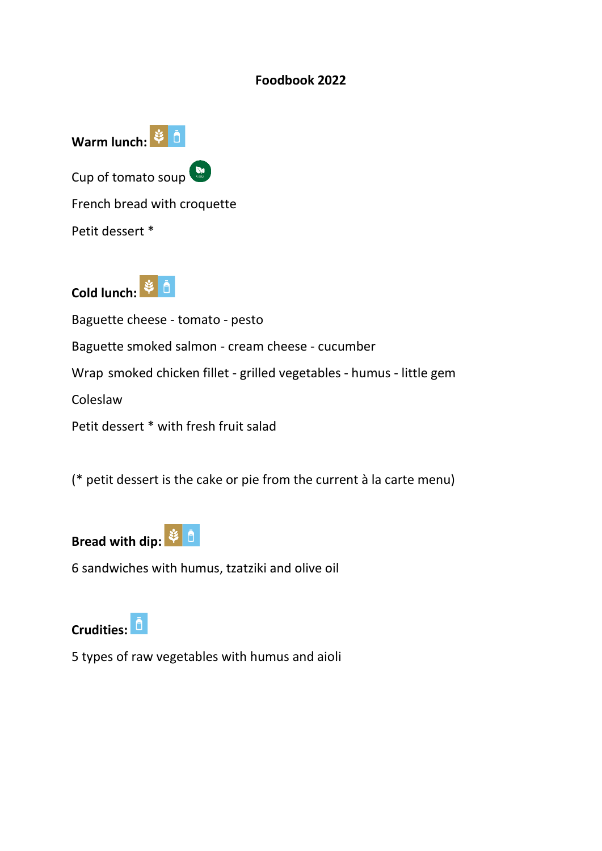#### **Foodbook 2022**



Cold lunch: <sup>3</sup>

Baguette cheese - tomato - pesto Baguette smoked salmon - cream cheese - cucumber Wrap smoked chicken fillet - grilled vegetables - humus - little gem Coleslaw Petit dessert \* with fresh fruit salad

(\* petit dessert is the cake or pie from the current à la carte menu)



6 sandwiches with humus, tzatziki and olive oil



5 types of raw vegetables with humus and aioli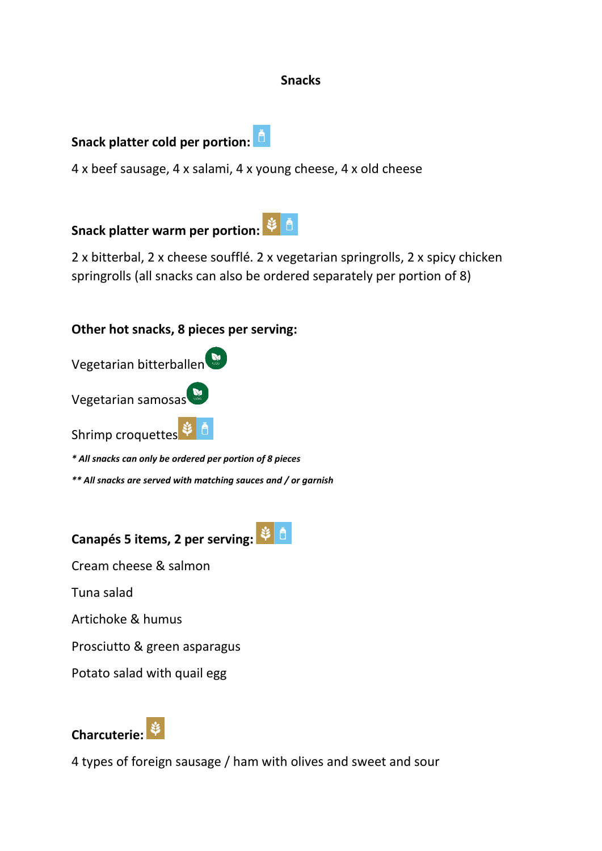#### **Snacks**

# **Snack platter cold per portion:**

4 x beef sausage, 4 x salami, 4 x young cheese, 4 x old cheese

**Snack platter warm per portion:**

2 x bitterbal, 2 x cheese soufflé. 2 x vegetarian springrolls, 2 x spicy chicken springrolls (all snacks can also be ordered separately per portion of 8)

### **Other hot snacks, 8 pieces per serving:**

| Vegetarian bitterballen |
|-------------------------|
| Vegetarian samosas      |
|                         |

Shrimp croquettes  $\Psi$   $^{\Box}$ 

*\* All snacks can only be ordered per portion of 8 pieces*

*\*\* All snacks are served with matching sauces and / or garnish*

**Canapés 5 items, 2 per serving:**

Cream cheese & salmon

Tuna salad

Artichoke & humus

Prosciutto & green asparagus

Potato salad with quail egg



4 types of foreign sausage / ham with olives and sweet and sour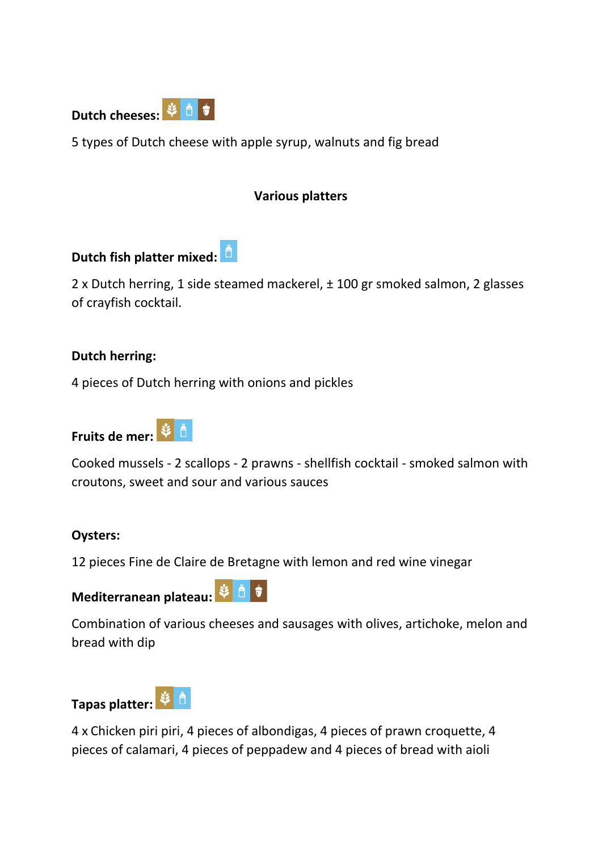

5 types of Dutch cheese with apple syrup, walnuts and fig bread

### **Various platters**

**Dutch fish platter mixed:**

2 x Dutch herring, 1 side steamed mackerel, ± 100 gr smoked salmon, 2 glasses of crayfish cocktail.

#### **Dutch herring:**

4 pieces of Dutch herring with onions and pickles





Cooked mussels - 2 scallops - 2 prawns - shellfish cocktail - smoked salmon with croutons, sweet and sour and various sauces

### **Oysters:**

12 pieces Fine de Claire de Bretagne with lemon and red wine vinegar

# **Mediterranean plateau:**  $\frac{1}{2}$  0

Combination of various cheeses and sausages with olives, artichoke, melon and bread with dip

# Tapas platter: <sup>3</sup> <u>d</u>

4 x Chicken piri piri, 4 pieces of albondigas, 4 pieces of prawn croquette, 4 pieces of calamari, 4 pieces of peppadew and 4 pieces of bread with aioli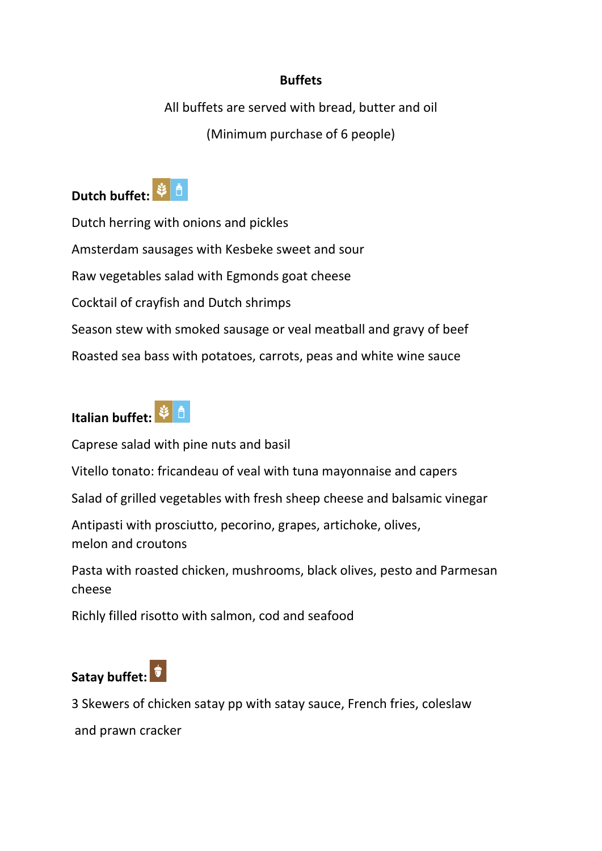# **Buffets**

All buffets are served with bread, butter and oil (Minimum purchase of 6 people)



Dutch herring with onions and pickles Amsterdam sausages with Kesbeke sweet and sour Raw vegetables salad with Egmonds goat cheese Cocktail of crayfish and Dutch shrimps Season stew with smoked sausage or veal meatball and gravy of beef Roasted sea bass with potatoes, carrots, peas and white wine sauce



Caprese salad with pine nuts and basil

Vitello tonato: fricandeau of veal with tuna mayonnaise and capers

Salad of grilled vegetables with fresh sheep cheese and balsamic vinegar

Antipasti with prosciutto, pecorino, grapes, artichoke, olives, melon and croutons

Pasta with roasted chicken, mushrooms, black olives, pesto and Parmesan cheese

Richly filled risotto with salmon, cod and seafood

# **Satay buffet:**

3 Skewers of chicken satay pp with satay sauce, French fries, coleslaw

and prawn cracker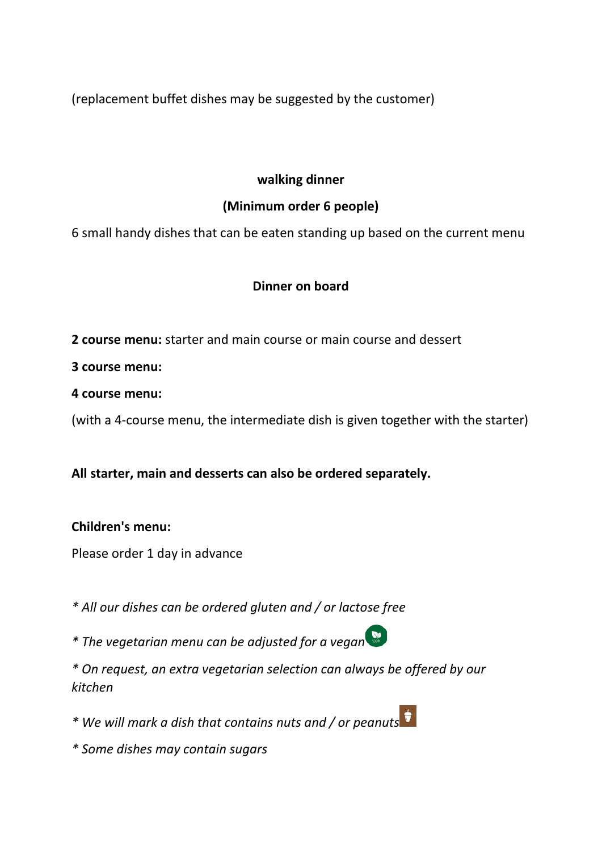(replacement buffet dishes may be suggested by the customer)

### **walking dinner**

# **(Minimum order 6 people)**

6 small handy dishes that can be eaten standing up based on the current menu

# **Dinner on board**

**2 course menu:** starter and main course or main course and dessert

**3 course menu:**

**4 course menu:**

(with a 4-course menu, the intermediate dish is given together with the starter)

# **All starter, main and desserts can also be ordered separately.**

### **Children's menu:**

Please order 1 day in advance

*\* All our dishes can be ordered gluten and / or lactose free*

*\* The vegetarian menu can be adjusted for a vegan*

*\* On request, an extra vegetarian selection can always be offered by our kitchen*

*\* We will mark a dish that contains nuts and / or peanuts*

*\* Some dishes may contain sugars*